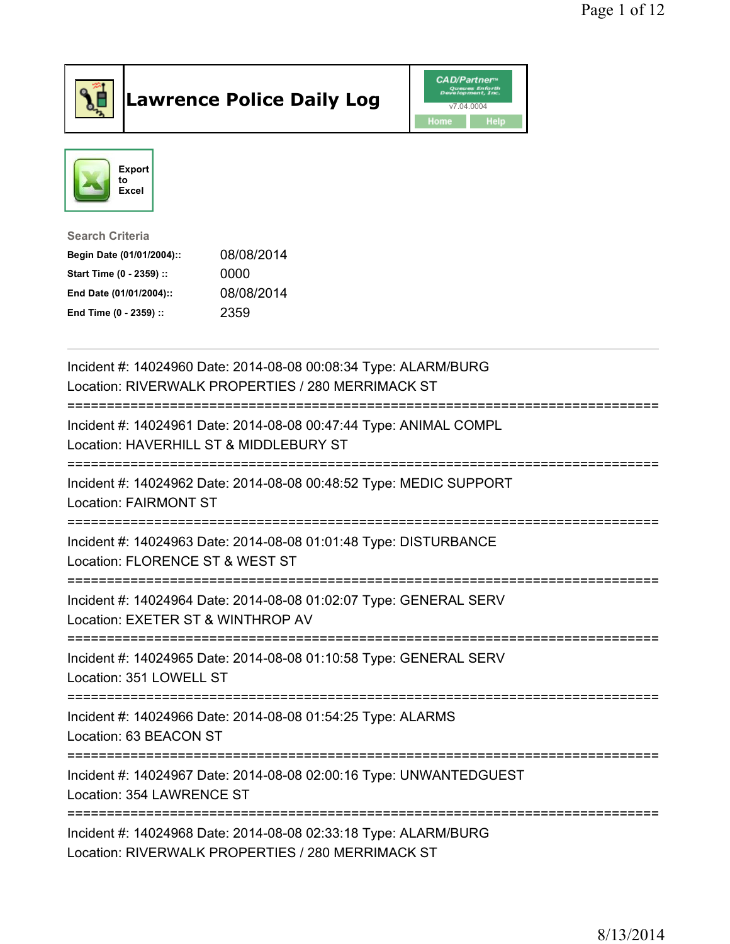

## Lawrence Police Daily Log **Daniel CAD/Partner**





Search Criteria Begin Date (01/01/2004):: 08/08/2014 Start Time (0 - 2359) :: 0000 End Date (01/01/2004):: 08/08/2014 End Time (0 - 2359) :: 2359

| Incident #: 14024960 Date: 2014-08-08 00:08:34 Type: ALARM/BURG<br>Location: RIVERWALK PROPERTIES / 280 MERRIMACK ST                |
|-------------------------------------------------------------------------------------------------------------------------------------|
| Incident #: 14024961 Date: 2014-08-08 00:47:44 Type: ANIMAL COMPL<br>Location: HAVERHILL ST & MIDDLEBURY ST                         |
| Incident #: 14024962 Date: 2014-08-08 00:48:52 Type: MEDIC SUPPORT<br><b>Location: FAIRMONT ST</b>                                  |
| Incident #: 14024963 Date: 2014-08-08 01:01:48 Type: DISTURBANCE<br>Location: FLORENCE ST & WEST ST<br>============================ |
| Incident #: 14024964 Date: 2014-08-08 01:02:07 Type: GENERAL SERV<br>Location: EXETER ST & WINTHROP AV                              |
| Incident #: 14024965 Date: 2014-08-08 01:10:58 Type: GENERAL SERV<br>Location: 351 LOWELL ST                                        |
| Incident #: 14024966 Date: 2014-08-08 01:54:25 Type: ALARMS<br>Location: 63 BEACON ST                                               |
| Incident #: 14024967 Date: 2014-08-08 02:00:16 Type: UNWANTEDGUEST<br>Location: 354 LAWRENCE ST<br>=====================            |
| Incident #: 14024968 Date: 2014-08-08 02:33:18 Type: ALARM/BURG<br>Location: RIVERWALK PROPERTIES / 280 MERRIMACK ST                |

Location: RIVERWALK PROPERTIES / 280 MERRIMACK ST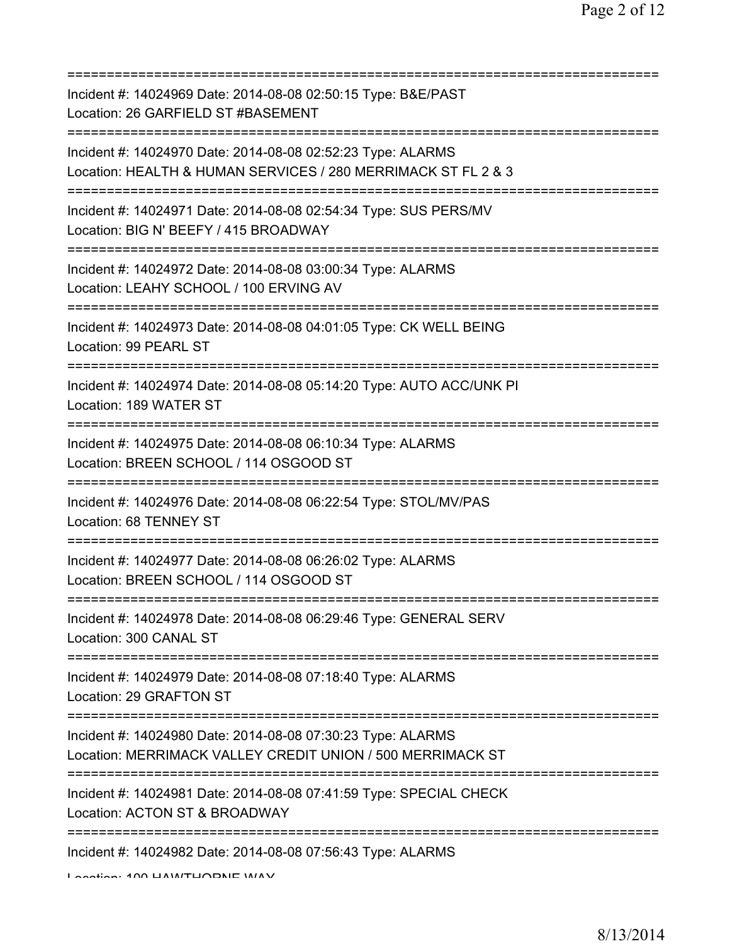| Incident #: 14024969 Date: 2014-08-08 02:50:15 Type: B&E/PAST<br>Location: 26 GARFIELD ST #BASEMENT                                           |
|-----------------------------------------------------------------------------------------------------------------------------------------------|
| Incident #: 14024970 Date: 2014-08-08 02:52:23 Type: ALARMS<br>Location: HEALTH & HUMAN SERVICES / 280 MERRIMACK ST FL 2 & 3                  |
| Incident #: 14024971 Date: 2014-08-08 02:54:34 Type: SUS PERS/MV<br>Location: BIG N' BEEFY / 415 BROADWAY<br>================================ |
| Incident #: 14024972 Date: 2014-08-08 03:00:34 Type: ALARMS<br>Location: LEAHY SCHOOL / 100 ERVING AV                                         |
| Incident #: 14024973 Date: 2014-08-08 04:01:05 Type: CK WELL BEING<br>Location: 99 PEARL ST<br>=====================================          |
| Incident #: 14024974 Date: 2014-08-08 05:14:20 Type: AUTO ACC/UNK PI<br>Location: 189 WATER ST                                                |
| Incident #: 14024975 Date: 2014-08-08 06:10:34 Type: ALARMS<br>Location: BREEN SCHOOL / 114 OSGOOD ST                                         |
| Incident #: 14024976 Date: 2014-08-08 06:22:54 Type: STOL/MV/PAS<br>Location: 68 TENNEY ST                                                    |
| Incident #: 14024977 Date: 2014-08-08 06:26:02 Type: ALARMS<br>Location: BREEN SCHOOL / 114 OSGOOD ST                                         |
| Incident #: 14024978 Date: 2014-08-08 06:29:46 Type: GENERAL SERV<br>Location: 300 CANAL ST                                                   |
| Incident #: 14024979 Date: 2014-08-08 07:18:40 Type: ALARMS<br>Location: 29 GRAFTON ST                                                        |
| Incident #: 14024980 Date: 2014-08-08 07:30:23 Type: ALARMS<br>Location: MERRIMACK VALLEY CREDIT UNION / 500 MERRIMACK ST                     |
| Incident #: 14024981 Date: 2014-08-08 07:41:59 Type: SPECIAL CHECK<br>Location: ACTON ST & BROADWAY                                           |
| Incident #: 14024982 Date: 2014-08-08 07:56:43 Type: ALARMS                                                                                   |

Location: 100 HAWTHORNE WAY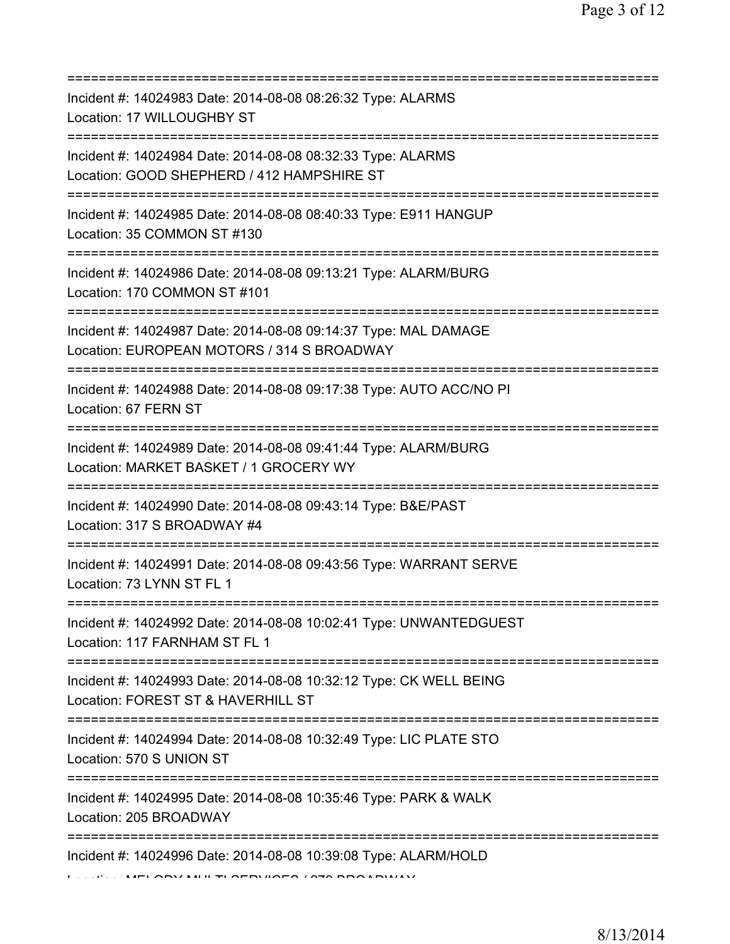| Incident #: 14024983 Date: 2014-08-08 08:26:32 Type: ALARMS<br>Location: 17 WILLOUGHBY ST<br>Incident #: 14024984 Date: 2014-08-08 08:32:33 Type: ALARMS<br>Location: GOOD SHEPHERD / 412 HAMPSHIRE ST<br>=======================<br>Incident #: 14024985 Date: 2014-08-08 08:40:33 Type: E911 HANGUP<br>Location: 35 COMMON ST #130<br>=====================================<br>Incident #: 14024986 Date: 2014-08-08 09:13:21 Type: ALARM/BURG<br>Location: 170 COMMON ST #101<br>Incident #: 14024987 Date: 2014-08-08 09:14:37 Type: MAL DAMAGE<br>Location: EUROPEAN MOTORS / 314 S BROADWAY<br>======================<br>Incident #: 14024988 Date: 2014-08-08 09:17:38 Type: AUTO ACC/NO PI<br>Location: 67 FERN ST<br>Incident #: 14024989 Date: 2014-08-08 09:41:44 Type: ALARM/BURG<br>Location: MARKET BASKET / 1 GROCERY WY<br>Incident #: 14024990 Date: 2014-08-08 09:43:14 Type: B&E/PAST<br>Location: 317 S BROADWAY #4<br>Incident #: 14024991 Date: 2014-08-08 09:43:56 Type: WARRANT SERVE<br>Location: 73 LYNN ST FL 1<br>Incident #: 14024992 Date: 2014-08-08 10:02:41 Type: UNWANTEDGUEST<br>Location: 117 FARNHAM ST FL 1<br>Incident #: 14024993 Date: 2014-08-08 10:32:12 Type: CK WELL BEING<br>Location: FOREST ST & HAVERHILL ST<br>=======================<br>Incident #: 14024994 Date: 2014-08-08 10:32:49 Type: LIC PLATE STO<br>Location: 570 S UNION ST<br>Incident #: 14024995 Date: 2014-08-08 10:35:46 Type: PARK & WALK<br>Location: 205 BROADWAY<br>=====================<br>Incident #: 14024996 Date: 2014-08-08 10:39:08 Type: ALARM/HOLD |  |
|--------------------------------------------------------------------------------------------------------------------------------------------------------------------------------------------------------------------------------------------------------------------------------------------------------------------------------------------------------------------------------------------------------------------------------------------------------------------------------------------------------------------------------------------------------------------------------------------------------------------------------------------------------------------------------------------------------------------------------------------------------------------------------------------------------------------------------------------------------------------------------------------------------------------------------------------------------------------------------------------------------------------------------------------------------------------------------------------------------------------------------------------------------------------------------------------------------------------------------------------------------------------------------------------------------------------------------------------------------------------------------------------------------------------------------------------------------------------------------------------------------------------------------------------------------------------------------------|--|
|                                                                                                                                                                                                                                                                                                                                                                                                                                                                                                                                                                                                                                                                                                                                                                                                                                                                                                                                                                                                                                                                                                                                                                                                                                                                                                                                                                                                                                                                                                                                                                                      |  |
|                                                                                                                                                                                                                                                                                                                                                                                                                                                                                                                                                                                                                                                                                                                                                                                                                                                                                                                                                                                                                                                                                                                                                                                                                                                                                                                                                                                                                                                                                                                                                                                      |  |
|                                                                                                                                                                                                                                                                                                                                                                                                                                                                                                                                                                                                                                                                                                                                                                                                                                                                                                                                                                                                                                                                                                                                                                                                                                                                                                                                                                                                                                                                                                                                                                                      |  |
|                                                                                                                                                                                                                                                                                                                                                                                                                                                                                                                                                                                                                                                                                                                                                                                                                                                                                                                                                                                                                                                                                                                                                                                                                                                                                                                                                                                                                                                                                                                                                                                      |  |
|                                                                                                                                                                                                                                                                                                                                                                                                                                                                                                                                                                                                                                                                                                                                                                                                                                                                                                                                                                                                                                                                                                                                                                                                                                                                                                                                                                                                                                                                                                                                                                                      |  |
|                                                                                                                                                                                                                                                                                                                                                                                                                                                                                                                                                                                                                                                                                                                                                                                                                                                                                                                                                                                                                                                                                                                                                                                                                                                                                                                                                                                                                                                                                                                                                                                      |  |
|                                                                                                                                                                                                                                                                                                                                                                                                                                                                                                                                                                                                                                                                                                                                                                                                                                                                                                                                                                                                                                                                                                                                                                                                                                                                                                                                                                                                                                                                                                                                                                                      |  |
|                                                                                                                                                                                                                                                                                                                                                                                                                                                                                                                                                                                                                                                                                                                                                                                                                                                                                                                                                                                                                                                                                                                                                                                                                                                                                                                                                                                                                                                                                                                                                                                      |  |
|                                                                                                                                                                                                                                                                                                                                                                                                                                                                                                                                                                                                                                                                                                                                                                                                                                                                                                                                                                                                                                                                                                                                                                                                                                                                                                                                                                                                                                                                                                                                                                                      |  |
|                                                                                                                                                                                                                                                                                                                                                                                                                                                                                                                                                                                                                                                                                                                                                                                                                                                                                                                                                                                                                                                                                                                                                                                                                                                                                                                                                                                                                                                                                                                                                                                      |  |
|                                                                                                                                                                                                                                                                                                                                                                                                                                                                                                                                                                                                                                                                                                                                                                                                                                                                                                                                                                                                                                                                                                                                                                                                                                                                                                                                                                                                                                                                                                                                                                                      |  |
|                                                                                                                                                                                                                                                                                                                                                                                                                                                                                                                                                                                                                                                                                                                                                                                                                                                                                                                                                                                                                                                                                                                                                                                                                                                                                                                                                                                                                                                                                                                                                                                      |  |
|                                                                                                                                                                                                                                                                                                                                                                                                                                                                                                                                                                                                                                                                                                                                                                                                                                                                                                                                                                                                                                                                                                                                                                                                                                                                                                                                                                                                                                                                                                                                                                                      |  |
|                                                                                                                                                                                                                                                                                                                                                                                                                                                                                                                                                                                                                                                                                                                                                                                                                                                                                                                                                                                                                                                                                                                                                                                                                                                                                                                                                                                                                                                                                                                                                                                      |  |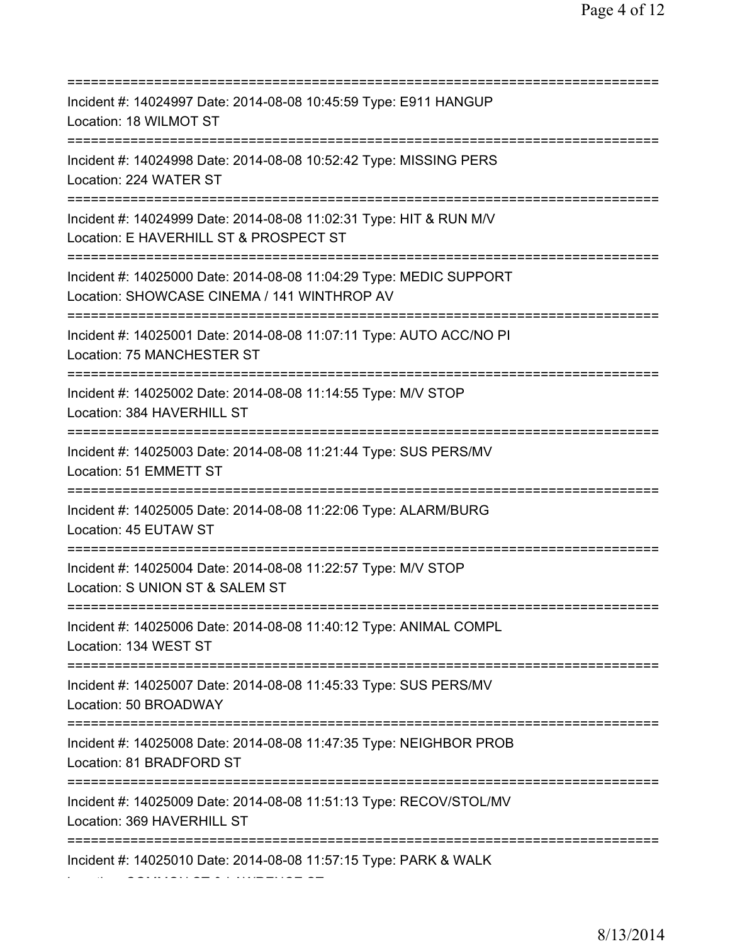=========================================================================== Incident #: 14024997 Date: 2014-08-08 10:45:59 Type: E911 HANGUP Location: 18 WILMOT ST =========================================================================== Incident #: 14024998 Date: 2014-08-08 10:52:42 Type: MISSING PERS Location: 224 WATER ST =========================================================================== Incident #: 14024999 Date: 2014-08-08 11:02:31 Type: HIT & RUN M/V Location: E HAVERHILL ST & PROSPECT ST =========================================================================== Incident #: 14025000 Date: 2014-08-08 11:04:29 Type: MEDIC SUPPORT Location: SHOWCASE CINEMA / 141 WINTHROP AV =========================================================================== Incident #: 14025001 Date: 2014-08-08 11:07:11 Type: AUTO ACC/NO PI Location: 75 MANCHESTER ST =========================================================================== Incident #: 14025002 Date: 2014-08-08 11:14:55 Type: M/V STOP Location: 384 HAVERHILL ST =========================================================================== Incident #: 14025003 Date: 2014-08-08 11:21:44 Type: SUS PERS/MV Location: 51 EMMETT ST =========================================================================== Incident #: 14025005 Date: 2014-08-08 11:22:06 Type: ALARM/BURG Location: 45 EUTAW ST =========================================================================== Incident #: 14025004 Date: 2014-08-08 11:22:57 Type: M/V STOP Location: S UNION ST & SALEM ST =========================================================================== Incident #: 14025006 Date: 2014-08-08 11:40:12 Type: ANIMAL COMPL Location: 134 WEST ST =========================================================================== Incident #: 14025007 Date: 2014-08-08 11:45:33 Type: SUS PERS/MV Location: 50 BROADWAY =========================================================================== Incident #: 14025008 Date: 2014-08-08 11:47:35 Type: NEIGHBOR PROB Location: 81 BRADFORD ST =========================================================================== Incident #: 14025009 Date: 2014-08-08 11:51:13 Type: RECOV/STOL/MV Location: 369 HAVERHILL ST =========================================================================== Incident #: 14025010 Date: 2014-08-08 11:57:15 Type: PARK & WALK Location: COMMON ST & LAWRENCE ST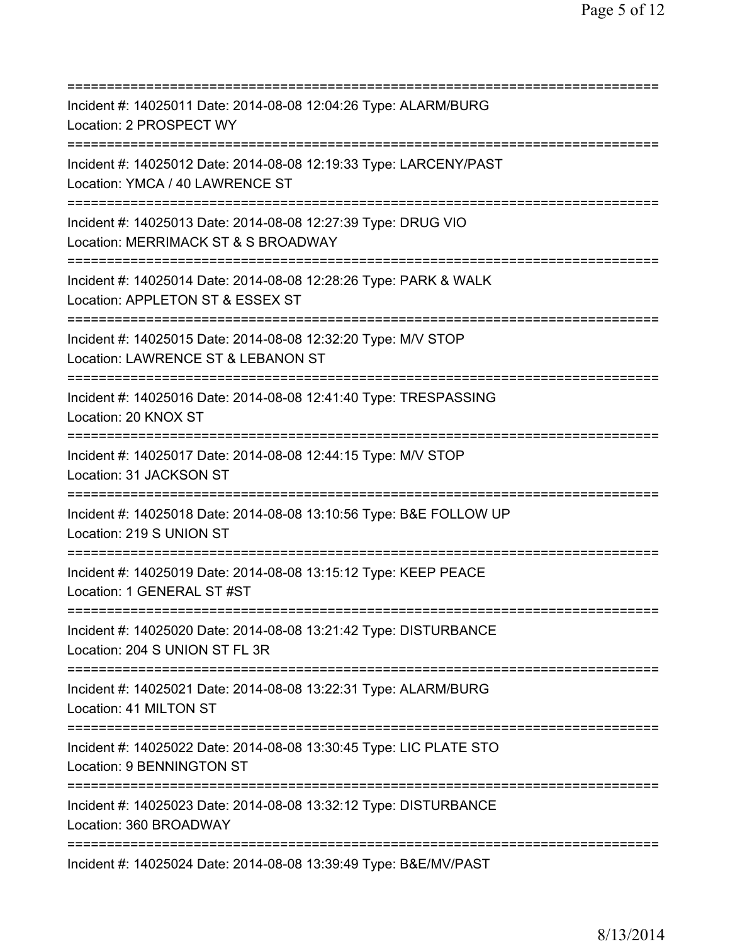| Incident #: 14025011 Date: 2014-08-08 12:04:26 Type: ALARM/BURG<br>Location: 2 PROSPECT WY                                       |
|----------------------------------------------------------------------------------------------------------------------------------|
| Incident #: 14025012 Date: 2014-08-08 12:19:33 Type: LARCENY/PAST<br>Location: YMCA / 40 LAWRENCE ST                             |
| Incident #: 14025013 Date: 2014-08-08 12:27:39 Type: DRUG VIO<br>Location: MERRIMACK ST & S BROADWAY                             |
| Incident #: 14025014 Date: 2014-08-08 12:28:26 Type: PARK & WALK<br>Location: APPLETON ST & ESSEX ST                             |
| Incident #: 14025015 Date: 2014-08-08 12:32:20 Type: M/V STOP<br>Location: LAWRENCE ST & LEBANON ST                              |
| Incident #: 14025016 Date: 2014-08-08 12:41:40 Type: TRESPASSING<br>Location: 20 KNOX ST                                         |
| Incident #: 14025017 Date: 2014-08-08 12:44:15 Type: M/V STOP<br>Location: 31 JACKSON ST                                         |
| Incident #: 14025018 Date: 2014-08-08 13:10:56 Type: B&E FOLLOW UP<br>Location: 219 S UNION ST                                   |
| Incident #: 14025019 Date: 2014-08-08 13:15:12 Type: KEEP PEACE<br>Location: 1 GENERAL ST #ST                                    |
| Incident #: 14025020 Date: 2014-08-08 13:21:42 Type: DISTURBANCE<br>Location: 204 S UNION ST FL 3R<br>========================== |
| Incident #: 14025021 Date: 2014-08-08 13:22:31 Type: ALARM/BURG<br>Location: 41 MILTON ST                                        |
| Incident #: 14025022 Date: 2014-08-08 13:30:45 Type: LIC PLATE STO<br>Location: 9 BENNINGTON ST                                  |
| Incident #: 14025023 Date: 2014-08-08 13:32:12 Type: DISTURBANCE<br>Location: 360 BROADWAY                                       |
| Incident #: 14025024 Date: 2014-08-08 13:39:49 Type: B&E/MV/PAST                                                                 |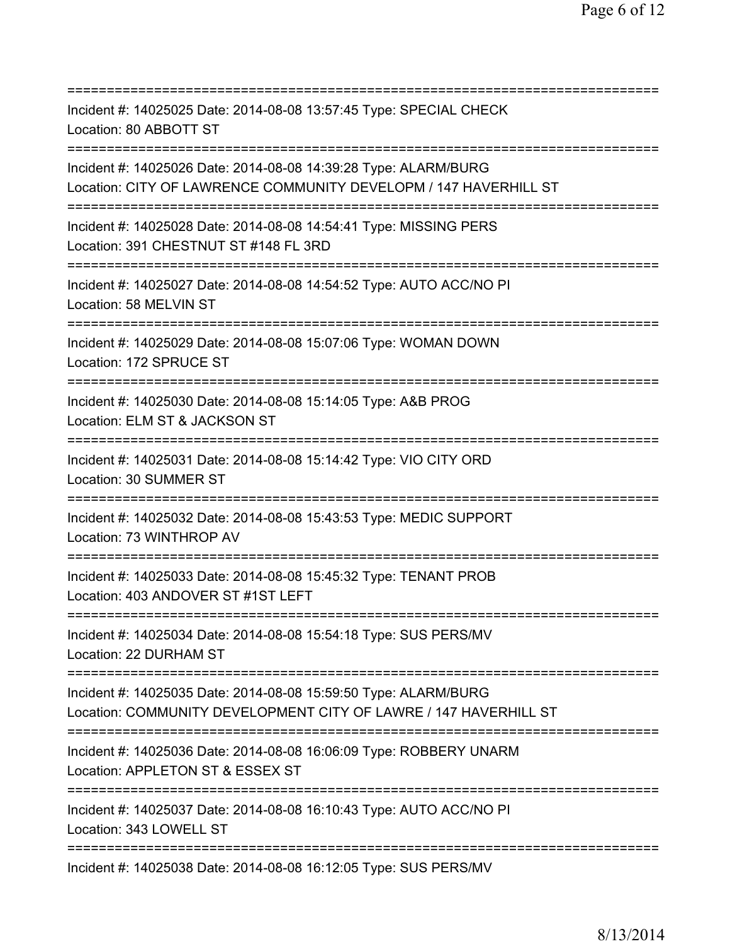=========================================================================== Incident #: 14025025 Date: 2014-08-08 13:57:45 Type: SPECIAL CHECK Location: 80 ABBOTT ST =========================================================================== Incident #: 14025026 Date: 2014-08-08 14:39:28 Type: ALARM/BURG Location: CITY OF LAWRENCE COMMUNITY DEVELOPM / 147 HAVERHILL ST =========================================================================== Incident #: 14025028 Date: 2014-08-08 14:54:41 Type: MISSING PERS Location: 391 CHESTNUT ST #148 FL 3RD =========================================================================== Incident #: 14025027 Date: 2014-08-08 14:54:52 Type: AUTO ACC/NO PI Location: 58 MELVIN ST =========================================================================== Incident #: 14025029 Date: 2014-08-08 15:07:06 Type: WOMAN DOWN Location: 172 SPRUCE ST =========================================================================== Incident #: 14025030 Date: 2014-08-08 15:14:05 Type: A&B PROG Location: ELM ST & JACKSON ST =========================================================================== Incident #: 14025031 Date: 2014-08-08 15:14:42 Type: VIO CITY ORD Location: 30 SUMMER ST =========================================================================== Incident #: 14025032 Date: 2014-08-08 15:43:53 Type: MEDIC SUPPORT Location: 73 WINTHROP AV =========================================================================== Incident #: 14025033 Date: 2014-08-08 15:45:32 Type: TENANT PROB Location: 403 ANDOVER ST #1ST LEFT =========================================================================== Incident #: 14025034 Date: 2014-08-08 15:54:18 Type: SUS PERS/MV Location: 22 DURHAM ST =========================================================================== Incident #: 14025035 Date: 2014-08-08 15:59:50 Type: ALARM/BURG Location: COMMUNITY DEVELOPMENT CITY OF LAWRE / 147 HAVERHILL ST =========================================================================== Incident #: 14025036 Date: 2014-08-08 16:06:09 Type: ROBBERY UNARM Location: APPLETON ST & ESSEX ST =========================================================================== Incident #: 14025037 Date: 2014-08-08 16:10:43 Type: AUTO ACC/NO PI Location: 343 LOWELL ST =========================================================================== Incident #: 14025038 Date: 2014-08-08 16:12:05 Type: SUS PERS/MV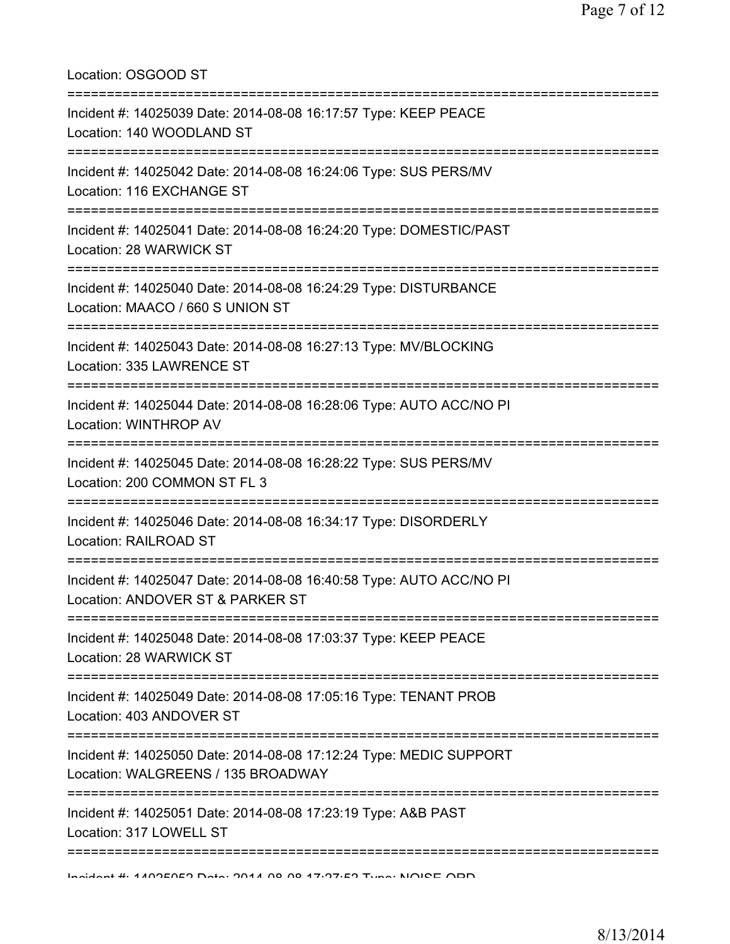Location: OSGOOD ST =========================================================================== Incident #: 14025039 Date: 2014-08-08 16:17:57 Type: KEEP PEACE Location: 140 WOODLAND ST =========================================================================== Incident #: 14025042 Date: 2014-08-08 16:24:06 Type: SUS PERS/MV Location: 116 EXCHANGE ST =========================================================================== Incident #: 14025041 Date: 2014-08-08 16:24:20 Type: DOMESTIC/PAST Location: 28 WARWICK ST =========================================================================== Incident #: 14025040 Date: 2014-08-08 16:24:29 Type: DISTURBANCE Location: MAACO / 660 S UNION ST =========================================================================== Incident #: 14025043 Date: 2014-08-08 16:27:13 Type: MV/BLOCKING Location: 335 LAWRENCE ST =========================================================================== Incident #: 14025044 Date: 2014-08-08 16:28:06 Type: AUTO ACC/NO PI Location: WINTHROP AV =========================================================================== Incident #: 14025045 Date: 2014-08-08 16:28:22 Type: SUS PERS/MV Location: 200 COMMON ST FL 3 =========================================================================== Incident #: 14025046 Date: 2014-08-08 16:34:17 Type: DISORDERLY Location: RAILROAD ST =========================================================================== Incident #: 14025047 Date: 2014-08-08 16:40:58 Type: AUTO ACC/NO PI Location: ANDOVER ST & PARKER ST =========================================================================== Incident #: 14025048 Date: 2014-08-08 17:03:37 Type: KEEP PEACE Location: 28 WARWICK ST =========================================================================== Incident #: 14025049 Date: 2014-08-08 17:05:16 Type: TENANT PROB Location: 403 ANDOVER ST =========================================================================== Incident #: 14025050 Date: 2014-08-08 17:12:24 Type: MEDIC SUPPORT Location: WALGREENS / 135 BROADWAY =========================================================================== Incident #: 14025051 Date: 2014-08-08 17:23:19 Type: A&B PAST Location: 317 LOWELL ST ===========================================================================

Incident #: 14025052 Date: 2014 08 08 17:27:52 Type: NOISE ORD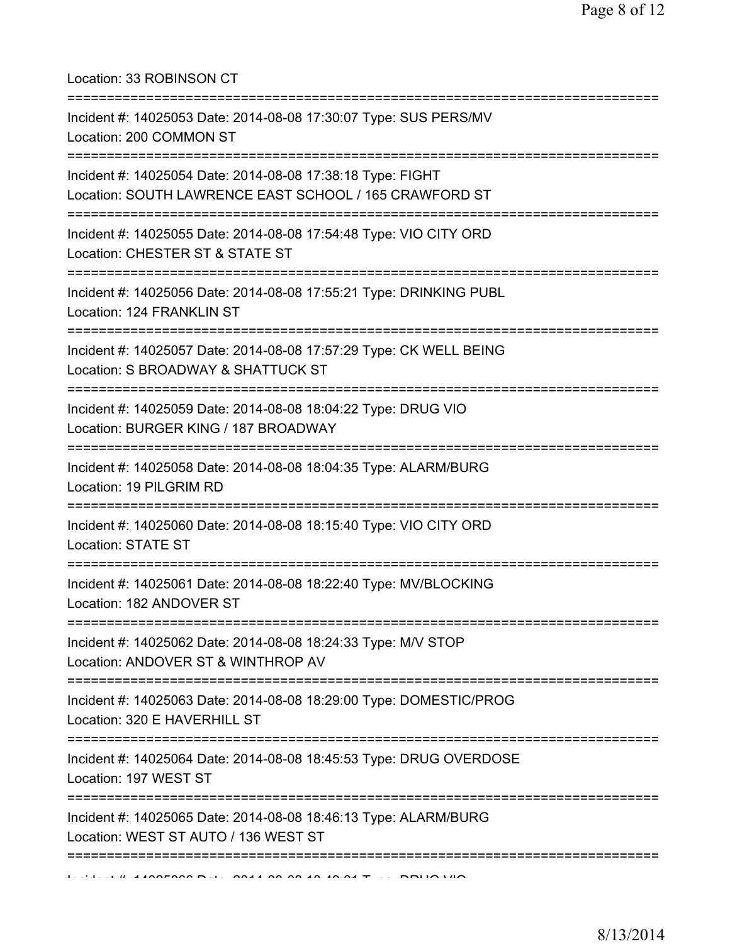Location: 33 ROBINSON CT

| Incident #: 14025053 Date: 2014-08-08 17:30:07 Type: SUS PERS/MV<br>Location: 200 COMMON ST                                                    |
|------------------------------------------------------------------------------------------------------------------------------------------------|
| :=====================<br>Incident #: 14025054 Date: 2014-08-08 17:38:18 Type: FIGHT<br>Location: SOUTH LAWRENCE EAST SCHOOL / 165 CRAWFORD ST |
| Incident #: 14025055 Date: 2014-08-08 17:54:48 Type: VIO CITY ORD<br>Location: CHESTER ST & STATE ST                                           |
| Incident #: 14025056 Date: 2014-08-08 17:55:21 Type: DRINKING PUBL<br>Location: 124 FRANKLIN ST<br>;=================================          |
| Incident #: 14025057 Date: 2014-08-08 17:57:29 Type: CK WELL BEING<br>Location: S BROADWAY & SHATTUCK ST                                       |
| Incident #: 14025059 Date: 2014-08-08 18:04:22 Type: DRUG VIO<br>Location: BURGER KING / 187 BROADWAY                                          |
| Incident #: 14025058 Date: 2014-08-08 18:04:35 Type: ALARM/BURG<br>Location: 19 PILGRIM RD                                                     |
| Incident #: 14025060 Date: 2014-08-08 18:15:40 Type: VIO CITY ORD<br>Location: STATE ST                                                        |
| Incident #: 14025061 Date: 2014-08-08 18:22:40 Type: MV/BLOCKING<br>Location: 182 ANDOVER ST                                                   |
| Incident #: 14025062 Date: 2014-08-08 18:24:33 Type: M/V STOP<br>Location: ANDOVER ST & WINTHROP AV<br>:===============================        |
| Incident #: 14025063 Date: 2014-08-08 18:29:00 Type: DOMESTIC/PROG<br>Location: 320 E HAVERHILL ST                                             |
| Incident #: 14025064 Date: 2014-08-08 18:45:53 Type: DRUG OVERDOSE<br>Location: 197 WEST ST                                                    |
| Incident #: 14025065 Date: 2014-08-08 18:46:13 Type: ALARM/BURG<br>Location: WEST ST AUTO / 136 WEST ST                                        |
|                                                                                                                                                |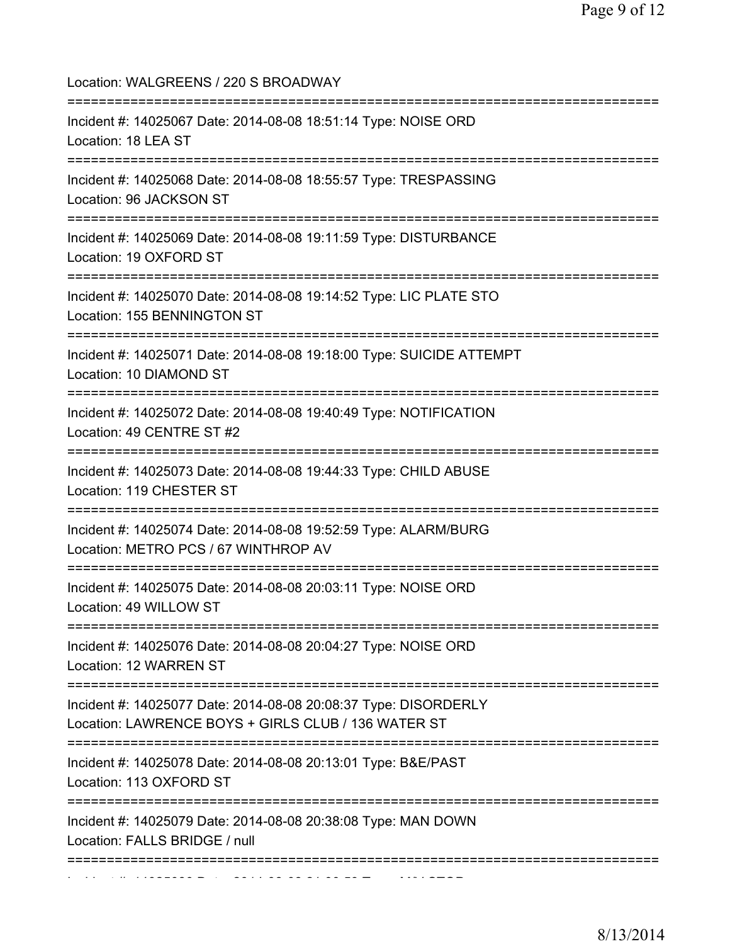Location: WALGREENS / 220 S BROADWAY =========================================================================== Incident #: 14025067 Date: 2014-08-08 18:51:14 Type: NOISE ORD Location: 18 LEA ST =========================================================================== Incident #: 14025068 Date: 2014-08-08 18:55:57 Type: TRESPASSING Location: 96 JACKSON ST =========================================================================== Incident #: 14025069 Date: 2014-08-08 19:11:59 Type: DISTURBANCE Location: 19 OXFORD ST =========================================================================== Incident #: 14025070 Date: 2014-08-08 19:14:52 Type: LIC PLATE STO Location: 155 BENNINGTON ST =========================================================================== Incident #: 14025071 Date: 2014-08-08 19:18:00 Type: SUICIDE ATTEMPT Location: 10 DIAMOND ST =========================================================================== Incident #: 14025072 Date: 2014-08-08 19:40:49 Type: NOTIFICATION Location: 49 CENTRE ST #2 =========================================================================== Incident #: 14025073 Date: 2014-08-08 19:44:33 Type: CHILD ABUSE Location: 119 CHESTER ST =========================================================================== Incident #: 14025074 Date: 2014-08-08 19:52:59 Type: ALARM/BURG Location: METRO PCS / 67 WINTHROP AV =========================================================================== Incident #: 14025075 Date: 2014-08-08 20:03:11 Type: NOISE ORD Location: 49 WILLOW ST =========================================================================== Incident #: 14025076 Date: 2014-08-08 20:04:27 Type: NOISE ORD Location: 12 WARREN ST =========================================================================== Incident #: 14025077 Date: 2014-08-08 20:08:37 Type: DISORDERLY Location: LAWRENCE BOYS + GIRLS CLUB / 136 WATER ST =========================================================================== Incident #: 14025078 Date: 2014-08-08 20:13:01 Type: B&E/PAST Location: 113 OXFORD ST =========================================================================== Incident #: 14025079 Date: 2014-08-08 20:38:08 Type: MAN DOWN Location: FALLS BRIDGE / null =========================================================================== Incident #: 14025080 Date: 2014 08 08 21:00:59 Type: M/V STOP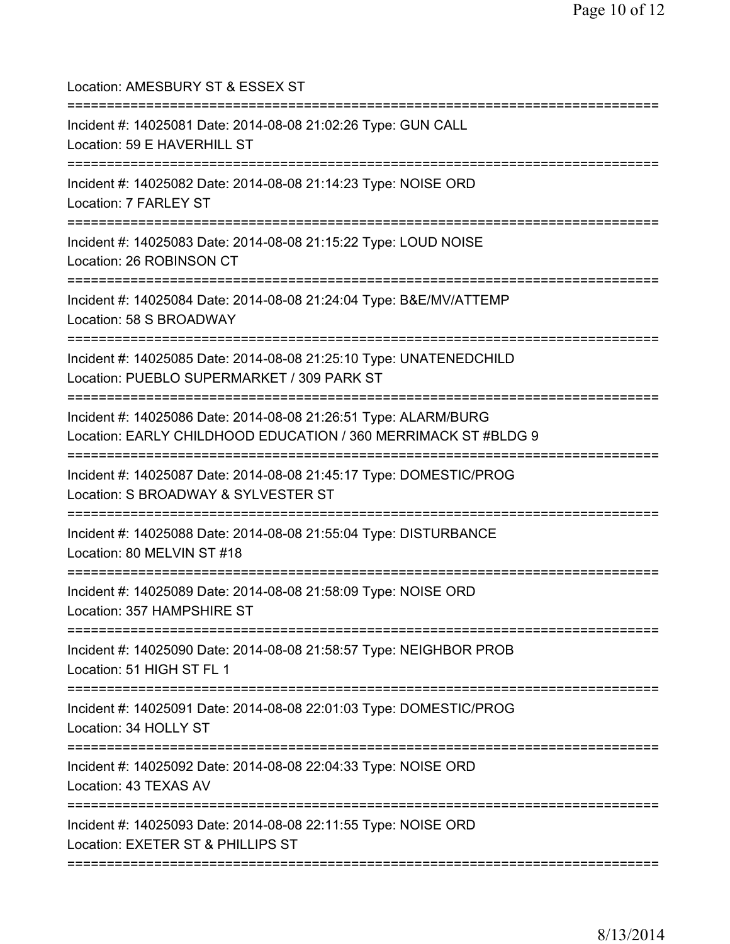| Location: AMESBURY ST & ESSEX ST<br>========================                                                                                  |
|-----------------------------------------------------------------------------------------------------------------------------------------------|
| Incident #: 14025081 Date: 2014-08-08 21:02:26 Type: GUN CALL<br>Location: 59 E HAVERHILL ST<br>======================                        |
| Incident #: 14025082 Date: 2014-08-08 21:14:23 Type: NOISE ORD<br>Location: 7 FARLEY ST<br>==============================                     |
| Incident #: 14025083 Date: 2014-08-08 21:15:22 Type: LOUD NOISE<br>Location: 26 ROBINSON CT                                                   |
| Incident #: 14025084 Date: 2014-08-08 21:24:04 Type: B&E/MV/ATTEMP<br>Location: 58 S BROADWAY                                                 |
| Incident #: 14025085 Date: 2014-08-08 21:25:10 Type: UNATENEDCHILD<br>Location: PUEBLO SUPERMARKET / 309 PARK ST                              |
| Incident #: 14025086 Date: 2014-08-08 21:26:51 Type: ALARM/BURG<br>Location: EARLY CHILDHOOD EDUCATION / 360 MERRIMACK ST #BLDG 9             |
| Incident #: 14025087 Date: 2014-08-08 21:45:17 Type: DOMESTIC/PROG<br>Location: S BROADWAY & SYLVESTER ST<br>================================ |
| Incident #: 14025088 Date: 2014-08-08 21:55:04 Type: DISTURBANCE<br>Location: 80 MELVIN ST #18                                                |
| Incident #: 14025089 Date: 2014-08-08 21:58:09 Type: NOISE ORD<br>Location: 357 HAMPSHIRE ST                                                  |
| Incident #: 14025090 Date: 2014-08-08 21:58:57 Type: NEIGHBOR PROB<br>Location: 51 HIGH ST FL 1                                               |
| Incident #: 14025091 Date: 2014-08-08 22:01:03 Type: DOMESTIC/PROG<br>Location: 34 HOLLY ST                                                   |
| Incident #: 14025092 Date: 2014-08-08 22:04:33 Type: NOISE ORD<br>Location: 43 TEXAS AV<br>==========================                         |
| Incident #: 14025093 Date: 2014-08-08 22:11:55 Type: NOISE ORD<br>Location: EXETER ST & PHILLIPS ST                                           |
|                                                                                                                                               |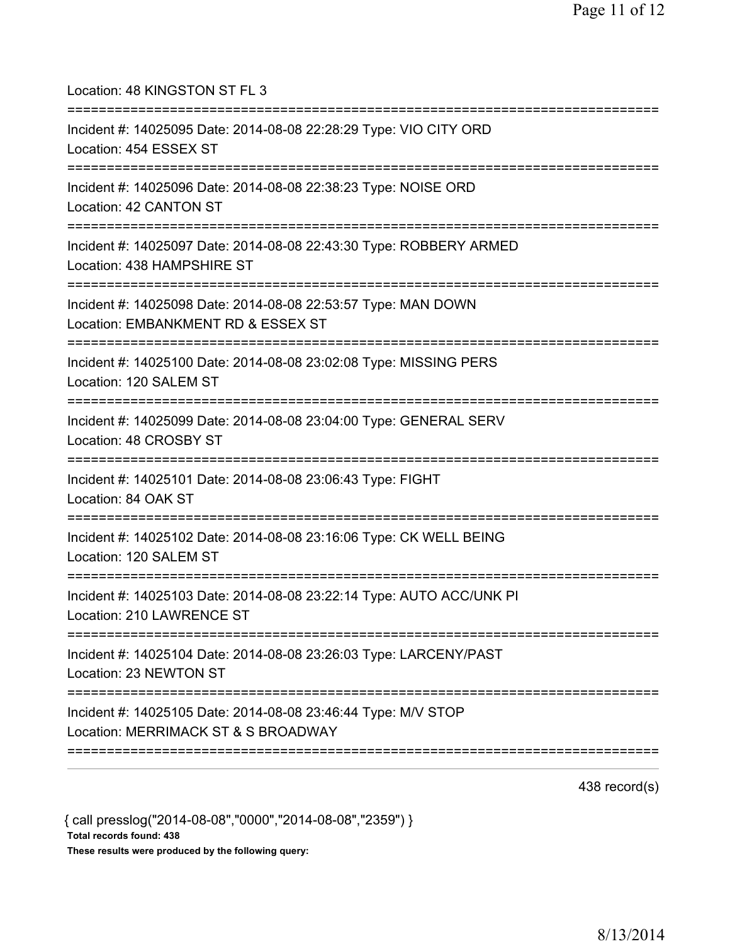| Location: 48 KINGSTON ST FL 3<br>====================================                                                                    |
|------------------------------------------------------------------------------------------------------------------------------------------|
| Incident #: 14025095 Date: 2014-08-08 22:28:29 Type: VIO CITY ORD<br>Location: 454 ESSEX ST<br>========================                  |
| Incident #: 14025096 Date: 2014-08-08 22:38:23 Type: NOISE ORD<br>Location: 42 CANTON ST<br>==============================               |
| Incident #: 14025097 Date: 2014-08-08 22:43:30 Type: ROBBERY ARMED<br>Location: 438 HAMPSHIRE ST<br>;==================================  |
| Incident #: 14025098 Date: 2014-08-08 22:53:57 Type: MAN DOWN<br>Location: EMBANKMENT RD & ESSEX ST                                      |
| Incident #: 14025100 Date: 2014-08-08 23:02:08 Type: MISSING PERS<br>Location: 120 SALEM ST                                              |
| Incident #: 14025099 Date: 2014-08-08 23:04:00 Type: GENERAL SERV<br>Location: 48 CROSBY ST                                              |
| Incident #: 14025101 Date: 2014-08-08 23:06:43 Type: FIGHT<br>Location: 84 OAK ST<br>====================================                |
| Incident #: 14025102 Date: 2014-08-08 23:16:06 Type: CK WELL BEING<br>Location: 120 SALEM ST                                             |
| Incident #: 14025103 Date: 2014-08-08 23:22:14 Type: AUTO ACC/UNK PI<br>Location: 210 LAWRENCE ST<br>=================================== |
| Incident #: 14025104 Date: 2014-08-08 23:26:03 Type: LARCENY/PAST<br>Location: 23 NEWTON ST                                              |
| Incident #: 14025105 Date: 2014-08-08 23:46:44 Type: M/V STOP<br>Location: MERRIMACK ST & S BROADWAY                                     |
|                                                                                                                                          |

438 record(s)

{ call presslog("2014-08-08","0000","2014-08-08","2359") } Total records found: 438 These results were produced by the following query: